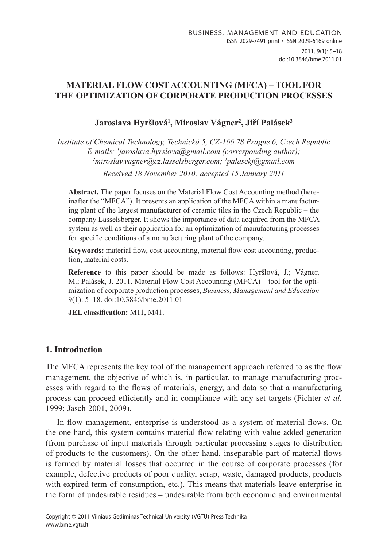## **Material Flow Cost Accounting (MFCA) – TOOL FOR THE OPTIMIZATION OF CORPORATE PRODUCTION PROCESSES**

# **Jaroslava Hyršlová1 , Miroslav Vágner2 , Jiří Palásek<sup>3</sup>**

*Institute of Chemical Technology, Technická 5, CZ-166 28 Prague 6, Czech Republic E-mails: 1 jaroslava.hyrslova@gmail.com (corresponding author); 2 miroslav.vagner@cz.lasselsberger.com; 3 palasekj@gmail.com*

*Received 18 November 2010; accepted 15 January 2011*

**Abstract.** The paper focuses on the Material Flow Cost Accounting method (hereinafter the "MFCA"). It presents an application of the MFCA within a manufacturing plant of the largest manufacturer of ceramic tiles in the Czech Republic – the company Lasselsberger. It shows the importance of data acquired from the MFCA system as well as their application for an optimization of manufacturing processes for specific conditions of a manufacturing plant of the company.

**Keywords:** material flow, cost accounting, material flow cost accounting, production, material costs.

**Reference** to this paper should be made as follows: Hyršlová, J.; Vágner, M.; Palásek, J. 2011. Material Flow Cost Accounting (MFCA) – tool for the optimization of corporate production processes, *Business, Management and Education*  9(1): 5–18. doi:10.3846/bme.2011.01

**Jel classification:** M11, M41.

## **1. Introduction**

The MFCA represents the key tool of the management approach referred to as the flow management, the objective of which is, in particular, to manage manufacturing processes with regard to the flows of materials, energy, and data so that a manufacturing process can proceed efficiently and in compliance with any set targets (Fichter *et al.*  1999; Jasch 2001, 2009).

In flow management, enterprise is understood as a system of material flows. On the one hand, this system contains material flow relating with value added generation (from purchase of input materials through particular processing stages to distribution of products to the customers). On the other hand, inseparable part of material flows is formed by material losses that occurred in the course of corporate processes (for example, defective products of poor quality, scrap, waste, damaged products, products with expired term of consumption, etc.). This means that materials leave enterprise in the form of undesirable residues – undesirable from both economic and environmental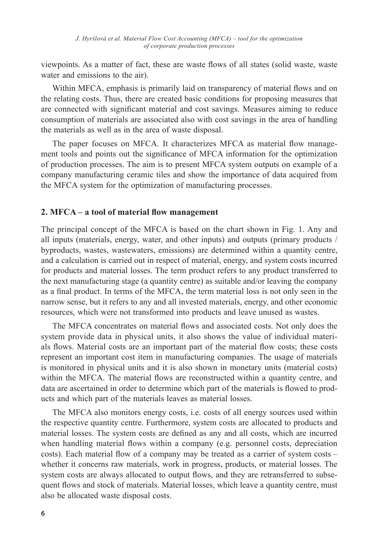viewpoints. As a matter of fact, these are waste flows of all states (solid waste, waste water and emissions to the air).

Within MFCA, emphasis is primarily laid on transparency of material flows and on the relating costs. Thus, there are created basic conditions for proposing measures that are connected with significant material and cost savings. Measures aiming to reduce consumption of materials are associated also with cost savings in the area of handling the materials as well as in the area of waste disposal.

The paper focuses on MFCA. It characterizes MFCA as material flow management tools and points out the significance of MFCA information for the optimization of production processes. The aim is to present MFCA system outputs on example of a company manufacturing ceramic tiles and show the importance of data acquired from the MFCA system for the optimization of manufacturing processes.

#### **2. MFCA – a tool of material flow management**

The principal concept of the MFCA is based on the chart shown in Fig. 1. Any and all inputs (materials, energy, water, and other inputs) and outputs (primary products / byproducts, wastes, wastewaters, emissions) are determined within a quantity centre, and a calculation is carried out in respect of material, energy, and system costs incurred for products and material losses. The term product refers to any product transferred to the next manufacturing stage (a quantity centre) as suitable and/or leaving the company as a final product. In terms of the MFCA, the term material loss is not only seen in the narrow sense, but it refers to any and all invested materials, energy, and other economic resources, which were not transformed into products and leave unused as wastes.

The MFCA concentrates on material flows and associated costs. Not only does the system provide data in physical units, it also shows the value of individual materials flows. Material costs are an important part of the material flow costs; these costs represent an important cost item in manufacturing companies. The usage of materials is monitored in physical units and it is also shown in monetary units (material costs) within the MFCA. The material flows are reconstructed within a quantity centre, and data are ascertained in order to determine which part of the materials is flowed to products and which part of the materials leaves as material losses.

The MFCA also monitors energy costs, i.e. costs of all energy sources used within the respective quantity centre. Furthermore, system costs are allocated to products and material losses. The system costs are defined as any and all costs, which are incurred when handling material flows within a company (e.g. personnel costs, depreciation costs). Each material flow of a company may be treated as a carrier of system costs – whether it concerns raw materials, work in progress, products, or material losses. The system costs are always allocated to output flows, and they are retransferred to subsequent flows and stock of materials. Material losses, which leave a quantity centre, must also be allocated waste disposal costs.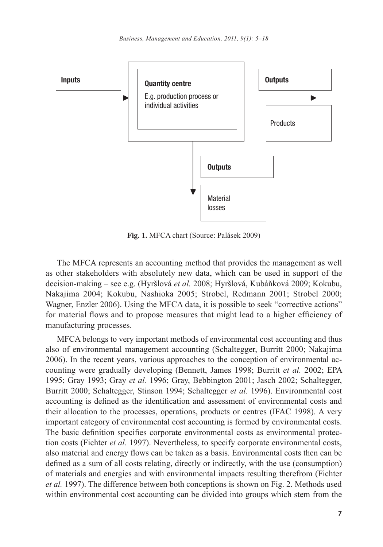

**Fig. 1.** MFCA chart (Source: Palásek 2009)

The MFCA represents an accounting method that provides the management as well as other stakeholders with absolutely new data, which can be used in support of the decision-making – see e.g. (Hyršlová *et al.* 2008; Hyršlová, Kubáňková 2009; Kokubu, Nakajima 2004; Kokubu, Nashioka 2005; Strobel, Redmann 2001; Strobel 2000; Wagner, Enzler 2006). Using the MFCA data, it is possible to seek "corrective actions" for material flows and to propose measures that might lead to a higher efficiency of manufacturing processes.

MFCA belongs to very important methods of environmental cost accounting and thus also of environmental management accounting (Schaltegger, Burritt 2000; Nakajima 2006). In the recent years, various approaches to the conception of environmental accounting were gradually developing (Bennett, James 1998; Burritt *et al.* 2002; EPA 1995; Gray 1993; Gray *et al.* 1996; Gray, Bebbington 2001; Jasch 2002; Schaltegger, Burritt 2000; Schaltegger, Stinson 1994; Schaltegger *et al.* 1996). Environmental cost accounting is defined as the identification and assessment of environmental costs and their allocation to the processes, operations, products or centres (IFAC 1998). A very important category of environmental cost accounting is formed by environmental costs. The basic definition specifies corporate environmental costs as environmental protection costs (Fichter *et al.* 1997). Nevertheless, to specify corporate environmental costs, also material and energy flows can be taken as a basis. Environmental costs then can be defined as a sum of all costs relating, directly or indirectly, with the use (consumption) of materials and energies and with environmental impacts resulting therefrom (Fichter *et al.* 1997). The difference between both conceptions is shown on Fig. 2. Methods used within environmental cost accounting can be divided into groups which stem from the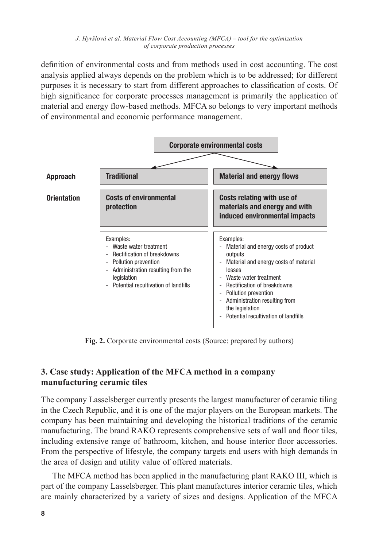definition of environmental costs and from methods used in cost accounting. The cost analysis applied always depends on the problem which is to be addressed; for different purposes it is necessary to start from different approaches to classification of costs. Of high significance for corporate processes management is primarily the application of material and energy flow-based methods. MFCA so belongs to very important methods of environmental and economic performance management.



**Fig. 2.** Corporate environmental costs (Source: prepared by authors)

# **3. Case study: Application of the MFCA method in a company manufacturing ceramic tiles**

The company Lasselsberger currently presents the largest manufacturer of ceramic tiling in the Czech Republic, and it is one of the major players on the European markets. The company has been maintaining and developing the historical traditions of the ceramic manufacturing. The brand RAKO represents comprehensive sets of wall and floor tiles, including extensive range of bathroom, kitchen, and house interior floor accessories. From the perspective of lifestyle, the company targets end users with high demands in the area of design and utility value of offered materials.

The MFCA method has been applied in the manufacturing plant RAKO III, which is part of the company Lasselsberger. This plant manufactures interior ceramic tiles, which are mainly characterized by a variety of sizes and designs. Application of the MFCA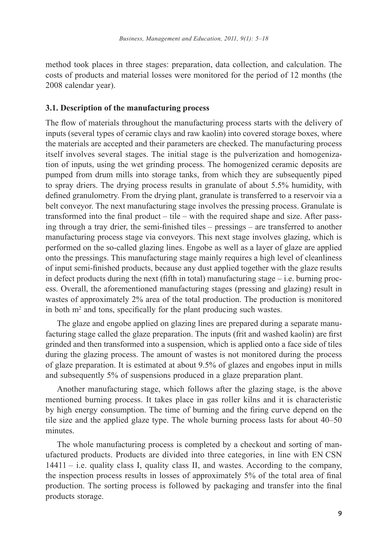method took places in three stages: preparation, data collection, and calculation. The costs of products and material losses were monitored for the period of 12 months (the 2008 calendar year).

#### **3.1. Description of the manufacturing process**

The flow of materials throughout the manufacturing process starts with the delivery of inputs (several types of ceramic clays and raw kaolin) into covered storage boxes, where the materials are accepted and their parameters are checked. The manufacturing process itself involves several stages. The initial stage is the pulverization and homogenization of inputs, using the wet grinding process. The homogenized ceramic deposits are pumped from drum mills into storage tanks, from which they are subsequently piped to spray driers. The drying process results in granulate of about 5.5% humidity, with defined granulometry. From the drying plant, granulate is transferred to a reservoir via a belt conveyor. The next manufacturing stage involves the pressing process. Granulate is transformed into the final product – tile – with the required shape and size. After passing through a tray drier, the semi-finished tiles – pressings – are transferred to another manufacturing process stage via conveyors. This next stage involves glazing, which is performed on the so-called glazing lines. Engobe as well as a layer of glaze are applied onto the pressings. This manufacturing stage mainly requires a high level of cleanliness of input semi-finished products, because any dust applied together with the glaze results in defect products during the next (fifth in total) manufacturing stage  $-$  i.e. burning process. Overall, the aforementioned manufacturing stages (pressing and glazing) result in wastes of approximately 2% area of the total production. The production is monitored in both m<sup>2</sup> and tons, specifically for the plant producing such wastes.

The glaze and engobe applied on glazing lines are prepared during a separate manufacturing stage called the glaze preparation. The inputs (frit and washed kaolin) are first grinded and then transformed into a suspension, which is applied onto a face side of tiles during the glazing process. The amount of wastes is not monitored during the process of glaze preparation. It is estimated at about 9.5% of glazes and engobes input in mills and subsequently 5% of suspensions produced in a glaze preparation plant.

Another manufacturing stage, which follows after the glazing stage, is the above mentioned burning process. It takes place in gas roller kilns and it is characteristic by high energy consumption. The time of burning and the firing curve depend on the tile size and the applied glaze type. The whole burning process lasts for about 40–50 minutes.

The whole manufacturing process is completed by a checkout and sorting of manufactured products. Products are divided into three categories, in line with EN CSN  $14411 - i.e.$  quality class I, quality class II, and wastes. According to the company, the inspection process results in losses of approximately 5% of the total area of final production. The sorting process is followed by packaging and transfer into the final products storage.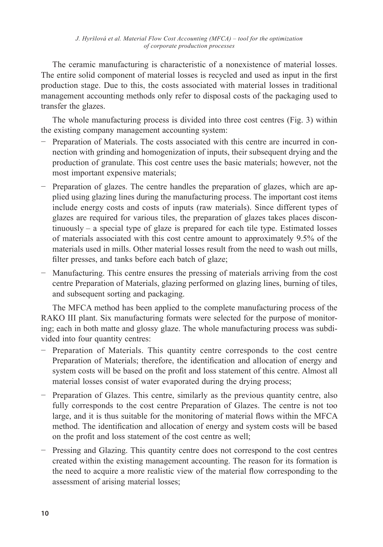The ceramic manufacturing is characteristic of a nonexistence of material losses. The entire solid component of material losses is recycled and used as input in the first production stage. Due to this, the costs associated with material losses in traditional management accounting methods only refer to disposal costs of the packaging used to transfer the glazes.

The whole manufacturing process is divided into three cost centres (Fig. 3) within the existing company management accounting system:

- − Preparation of Materials. The costs associated with this centre are incurred in connection with grinding and homogenization of inputs, their subsequent drying and the production of granulate. This cost centre uses the basic materials; however, not the most important expensive materials;
- − Preparation of glazes. The centre handles the preparation of glazes, which are applied using glazing lines during the manufacturing process. The important cost items include energy costs and costs of inputs (raw materials). Since different types of glazes are required for various tiles, the preparation of glazes takes places discontinuously – a special type of glaze is prepared for each tile type. Estimated losses of materials associated with this cost centre amount to approximately 9.5% of the materials used in mills. Other material losses result from the need to wash out mills, filter presses, and tanks before each batch of glaze;
- − Manufacturing. This centre ensures the pressing of materials arriving from the cost centre Preparation of Materials, glazing performed on glazing lines, burning of tiles, and subsequent sorting and packaging.

The MFCA method has been applied to the complete manufacturing process of the RAKO III plant. Six manufacturing formats were selected for the purpose of monitoring; each in both matte and glossy glaze. The whole manufacturing process was subdivided into four quantity centres:

- − Preparation of Materials. This quantity centre corresponds to the cost centre Preparation of Materials; therefore, the identification and allocation of energy and system costs will be based on the profit and loss statement of this centre. Almost all material losses consist of water evaporated during the drying process;
- − Preparation of Glazes. This centre, similarly as the previous quantity centre, also fully corresponds to the cost centre Preparation of Glazes. The centre is not too large, and it is thus suitable for the monitoring of material flows within the MFCA method. The identification and allocation of energy and system costs will be based on the profit and loss statement of the cost centre as well;
- − Pressing and Glazing. This quantity centre does not correspond to the cost centres created within the existing management accounting. The reason for its formation is the need to acquire a more realistic view of the material flow corresponding to the assessment of arising material losses;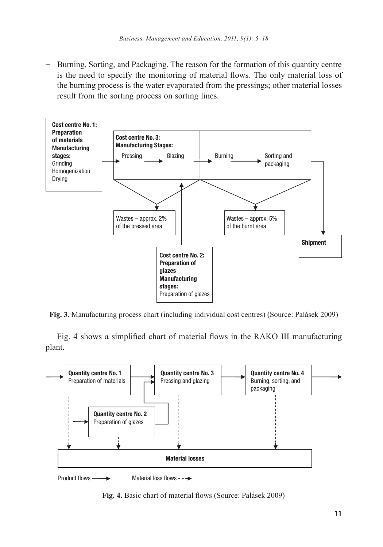− Burning, Sorting, and Packaging. The reason for the formation of this quantity centre is the need to specify the monitoring of material flows. The only material loss of the burning process is the water evaporated from the pressings; other material losses result from the sorting process on sorting lines.



**Fig. 3.** Manufacturing process chart (including individual cost centres) (Source: Palásek 2009)

Fig. 4 shows a simplified chart of material flows in the RAKO III manufacturing plant.



Product flows  $\longrightarrow$  Material loss flows - -  $\rightarrow$ 

**Fig. 4.** Basic chart of material flows (Source: Palásek 2009)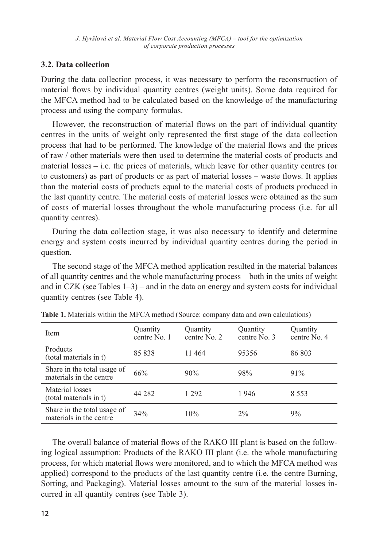## **3.2. Data collection**

During the data collection process, it was necessary to perform the reconstruction of material flows by individual quantity centres (weight units). Some data required for the MFCA method had to be calculated based on the knowledge of the manufacturing process and using the company formulas.

However, the reconstruction of material flows on the part of individual quantity centres in the units of weight only represented the first stage of the data collection process that had to be performed. The knowledge of the material flows and the prices of raw / other materials were then used to determine the material costs of products and material losses – i.e. the prices of materials, which leave for other quantity centres (or to customers) as part of products or as part of material losses – waste flows. It applies than the material costs of products equal to the material costs of products produced in the last quantity centre. The material costs of material losses were obtained as the sum of costs of material losses throughout the whole manufacturing process (i.e. for all quantity centres).

During the data collection stage, it was also necessary to identify and determine energy and system costs incurred by individual quantity centres during the period in question.

The second stage of the MFCA method application resulted in the material balances of all quantity centres and the whole manufacturing process – both in the units of weight and in CZK (see Tables  $1-3$ ) – and in the data on energy and system costs for individual quantity centres (see Table 4).

| Item                                                   | Quantity<br>centre No. 1 | Quantity<br>centre No. 2 | Quantity<br>centre No. 3 | Quantity<br>centre No. 4 |
|--------------------------------------------------------|--------------------------|--------------------------|--------------------------|--------------------------|
| Products<br>(total materials in t)                     | 85838                    | 11 464                   | 95356                    | 86 803                   |
| Share in the total usage of<br>materials in the centre | 66%                      | $90\%$                   | 98%                      | $91\%$                   |
| Material losses<br>(total materials in t)              | 44 28 2                  | 1 292                    | 1946                     | 8.553                    |
| Share in the total usage of<br>materials in the centre | 34%                      | 10%                      | $2\%$                    | 9%                       |

**Table 1.** Materials within the MFCA method (Source: company data and own calculations)

The overall balance of material flows of the RAKO III plant is based on the following logical assumption: Products of the RAKO III plant (i.e. the whole manufacturing process, for which material flows were monitored, and to which the MFCA method was applied) correspond to the products of the last quantity centre (i.e. the centre Burning, Sorting, and Packaging). Material losses amount to the sum of the material losses incurred in all quantity centres (see Table 3).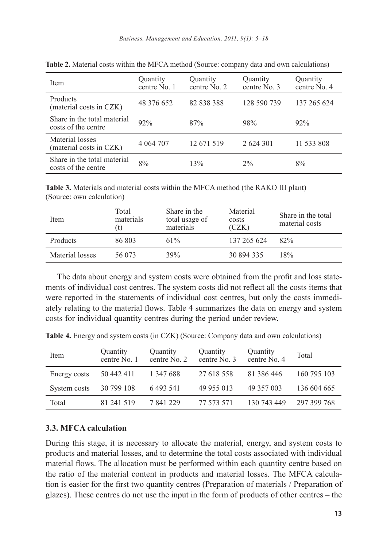| Item                                               | Quantity<br>centre No. 1 | Quantity<br>centre No. 2 | Quantity<br>centre No. 3 | Quantity<br>centre No. 4 |
|----------------------------------------------------|--------------------------|--------------------------|--------------------------|--------------------------|
| Products<br>(material costs in CZK)                | 48 376 652               | 82 838 388               | 128 590 739              | 137 265 624              |
| Share in the total material<br>costs of the centre | 92%                      | 87%                      | 98%                      | 92%                      |
| Material losses<br>(material costs in CZK)         | 4 064 707                | 12 671 519               | 2 624 301                | 11 533 808               |
| Share in the total material<br>costs of the centre | 8%                       | 13%                      | 2%                       | 8%                       |

**Table 2.** Material costs within the MFCA method (Source: company data and own calculations)

**Table 3.** Materials and material costs within the MFCA method (the RAKO III plant) (Source: own calculation)

| Item            | Total<br>materials<br>(t) | Share in the<br>total usage of<br>materials | Material<br>costs<br>(CZK) | Share in the total<br>material costs |
|-----------------|---------------------------|---------------------------------------------|----------------------------|--------------------------------------|
| Products        | 86 803                    | 61%                                         | 137 265 624                | 82%                                  |
| Material losses | 56 073                    | 39%                                         | 30 894 335                 | 18%                                  |

The data about energy and system costs were obtained from the profit and loss statements of individual cost centres. The system costs did not reflect all the costs items that were reported in the statements of individual cost centres, but only the costs immediately relating to the material flows. Table 4 summarizes the data on energy and system costs for individual quantity centres during the period under review.

| Item         | Quantity<br>centre No. 1 | Quantity<br>centre No. 2 | Quantity<br>centre No. 3 | Quantity<br>centre No. 4 | Total       |
|--------------|--------------------------|--------------------------|--------------------------|--------------------------|-------------|
| Energy costs | 50 442 411               | 1 347 688                | 27 618 558               | 81 386 446               | 160 795 103 |
| System costs | 30 799 108               | 6 4 9 3 5 4 1            | 49 955 013               | 49 357 003               | 136 604 665 |
| Total        | 81 241 519               | 7 841 229                | 77 573 571               | 130 743 449              | 297 399 768 |

**Table 4.** Energy and system costs (in CZK) (Source: Company data and own calculations)

## **3.3. MFCA calculation**

During this stage, it is necessary to allocate the material, energy, and system costs to products and material losses, and to determine the total costs associated with individual material flows. The allocation must be performed within each quantity centre based on the ratio of the material content in products and material losses. The MFCA calculation is easier for the first two quantity centres (Preparation of materials / Preparation of glazes). These centres do not use the input in the form of products of other centres – the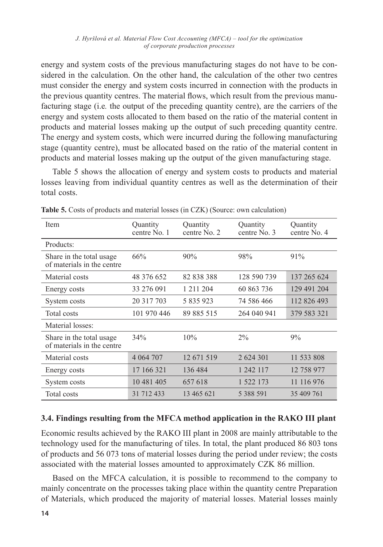energy and system costs of the previous manufacturing stages do not have to be considered in the calculation. On the other hand, the calculation of the other two centres must consider the energy and system costs incurred in connection with the products in the previous quantity centres. The material flows, which result from the previous manufacturing stage (i.e*.* the output of the preceding quantity centre), are the carriers of the energy and system costs allocated to them based on the ratio of the material content in products and material losses making up the output of such preceding quantity centre. The energy and system costs, which were incurred during the following manufacturing stage (quantity centre), must be allocated based on the ratio of the material content in products and material losses making up the output of the given manufacturing stage.

Table 5 shows the allocation of energy and system costs to products and material losses leaving from individual quantity centres as well as the determination of their total costs.

| Item                                                   | Quantity<br>centre No. 1 | Quantity<br>centre No. 2 | Quantity<br>centre No. 3 | Quantity<br>centre No. 4 |
|--------------------------------------------------------|--------------------------|--------------------------|--------------------------|--------------------------|
| Products:                                              |                          |                          |                          |                          |
| Share in the total usage<br>of materials in the centre | 66%                      | 90%                      | 98%                      | 91%                      |
| Material costs                                         | 48 376 652               | 82 838 388               | 128 590 739              | 137 265 624              |
| Energy costs                                           | 33 276 091               | 1 211 204                | 60 863 736               | 129 491 204              |
| System costs                                           | 20 317 703               | 5 835 923                | 74 586 466               | 112 826 493              |
| Total costs                                            | 101 970 446              | 89 885 515               | 264 040 941              | 379 583 321              |
| Material losses:                                       |                          |                          |                          |                          |
| Share in the total usage<br>of materials in the centre | 34%                      | 10%                      | $2\%$                    | 9%                       |
| Material costs                                         | 4 0 64 70 7              | 12 671 519               | 2 624 301                | 11 533 808               |
| Energy costs                                           | 17 166 321               | 136 484                  | 1 242 117                | 12 758 977               |
| System costs                                           | 10 481 405               | 657 618                  | 1 522 173                | 11 116 976               |
| Total costs                                            | 31 712 433               | 13 465 621               | 5 3 8 8 5 9 1            | 35 409 761               |

**Table 5.** Costs of products and material losses (in CZK) (Source: own calculation)

## **3.4. Findings resulting from the MFCA method application in the RAKO III plant**

Economic results achieved by the RAKO III plant in 2008 are mainly attributable to the technology used for the manufacturing of tiles. In total, the plant produced 86 803 tons of products and 56 073 tons of material losses during the period under review; the costs associated with the material losses amounted to approximately CZK 86 million.

Based on the MFCA calculation, it is possible to recommend to the company to mainly concentrate on the processes taking place within the quantity centre Preparation of Materials, which produced the majority of material losses. Material losses mainly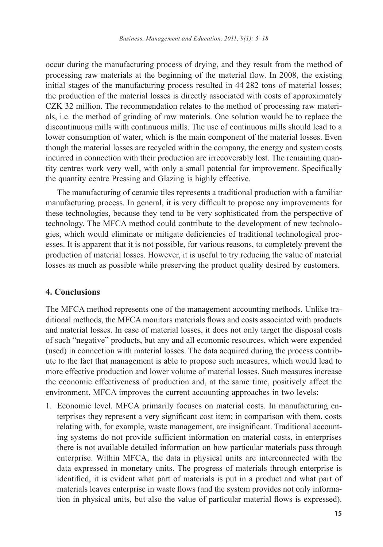occur during the manufacturing process of drying, and they result from the method of processing raw materials at the beginning of the material flow. In 2008, the existing initial stages of the manufacturing process resulted in 44 282 tons of material losses; the production of the material losses is directly associated with costs of approximately CZK 32 million. The recommendation relates to the method of processing raw materials, i.e. the method of grinding of raw materials. One solution would be to replace the discontinuous mills with continuous mills. The use of continuous mills should lead to a lower consumption of water, which is the main component of the material losses. Even though the material losses are recycled within the company, the energy and system costs incurred in connection with their production are irrecoverably lost. The remaining quantity centres work very well, with only a small potential for improvement. Specifically the quantity centre Pressing and Glazing is highly effective.

The manufacturing of ceramic tiles represents a traditional production with a familiar manufacturing process. In general, it is very difficult to propose any improvements for these technologies, because they tend to be very sophisticated from the perspective of technology. The MFCA method could contribute to the development of new technologies, which would eliminate or mitigate deficiencies of traditional technological processes. It is apparent that it is not possible, for various reasons, to completely prevent the production of material losses. However, it is useful to try reducing the value of material losses as much as possible while preserving the product quality desired by customers.

## **4. Conclusions**

The MFCA method represents one of the management accounting methods. Unlike traditional methods, the MFCA monitors materials flows and costs associated with products and material losses. In case of material losses, it does not only target the disposal costs of such "negative" products, but any and all economic resources, which were expended (used) in connection with material losses. The data acquired during the process contribute to the fact that management is able to propose such measures, which would lead to more effective production and lower volume of material losses. Such measures increase the economic effectiveness of production and, at the same time, positively affect the environment. MFCA improves the current accounting approaches in two levels:

1. Economic level. MFCA primarily focuses on material costs. In manufacturing enterprises they represent a very significant cost item; in comparison with them, costs relating with, for example, waste management, are insignificant. Traditional accounting systems do not provide sufficient information on material costs, in enterprises there is not available detailed information on how particular materials pass through enterprise. Within MFCA, the data in physical units are interconnected with the data expressed in monetary units. The progress of materials through enterprise is identified, it is evident what part of materials is put in a product and what part of materials leaves enterprise in waste flows (and the system provides not only information in physical units, but also the value of particular material flows is expressed).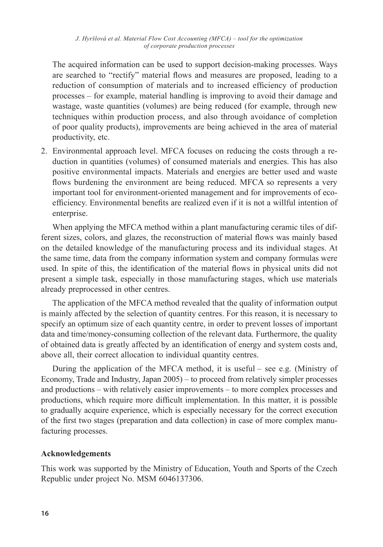The acquired information can be used to support decision-making processes. Ways are searched to "rectify" material flows and measures are proposed, leading to a reduction of consumption of materials and to increased efficiency of production processes – for example, material handling is improving to avoid their damage and wastage, waste quantities (volumes) are being reduced (for example, through new techniques within production process, and also through avoidance of completion of poor quality products), improvements are being achieved in the area of material productivity, etc.

2. Environmental approach level. MFCA focuses on reducing the costs through a reduction in quantities (volumes) of consumed materials and energies. This has also positive environmental impacts. Materials and energies are better used and waste flows burdening the environment are being reduced. MFCA so represents a very important tool for environment-oriented management and for improvements of ecoefficiency. Environmental benefits are realized even if it is not a willful intention of enterprise.

When applying the MFCA method within a plant manufacturing ceramic tiles of different sizes, colors, and glazes, the reconstruction of material flows was mainly based on the detailed knowledge of the manufacturing process and its individual stages. At the same time, data from the company information system and company formulas were used. In spite of this, the identification of the material flows in physical units did not present a simple task, especially in those manufacturing stages, which use materials already preprocessed in other centres.

The application of the MFCA method revealed that the quality of information output is mainly affected by the selection of quantity centres. For this reason, it is necessary to specify an optimum size of each quantity centre, in order to prevent losses of important data and time/money-consuming collection of the relevant data. Furthermore, the quality of obtained data is greatly affected by an identification of energy and system costs and, above all, their correct allocation to individual quantity centres.

During the application of the MFCA method, it is useful – see e.g. (Ministry of Economy, Trade and Industry, Japan 2005) – to proceed from relatively simpler processes and productions – with relatively easier improvements – to more complex processes and productions, which require more difficult implementation. In this matter, it is possible to gradually acquire experience, which is especially necessary for the correct execution of the first two stages (preparation and data collection) in case of more complex manufacturing processes.

## **Acknowledgements**

This work was supported by the Ministry of Education, Youth and Sports of the Czech Republic under project No. MSM 6046137306.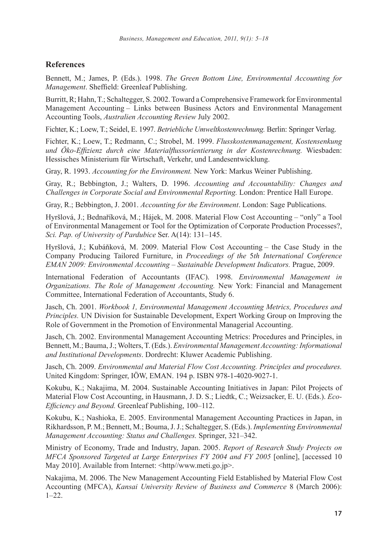#### **References**

Bennett, M.; James, P. (Eds.). 1998. *The Green Bottom Line, Environmental Accounting for Management*. Sheffield: Greenleaf Publishing.

Burritt, R; Hahn, T.; Schaltegger, S. 2002. Toward a Comprehensive Framework for Environmental Management Accounting – Links between Business Actors and Environmental Management Accounting Tools, *Australien Accounting Review* July 2002.

Fichter, K.; Loew, T.; Seidel, E. 1997. *Betriebliche Umweltkostenrechnung.* Berlin: Springer Verlag.

Fichter, K.; Loew, T.; Redmann, C.; Strobel, M. 1999. *Flusskostenmanagement, Kostensenkung und Öko-Effizienz durch eine Materialflussorientierung in der Kostenrechnung.* Wiesbaden: Hessisches Ministerium für Wirtschaft, Verkehr, und Landesentwicklung.

Gray, R. 1993. *Accounting for the Environment.* New York: Markus Weiner Publishing.

Gray, R.; Bebbington, J.; Walters, D. 1996. *Accounting and Accountability: Changes and Challenges in Corporate Social and Environmental Reporting.* London: Prentice Hall Europe.

Gray, R.; Bebbington, J. 2001. *Accounting for the Environment*. London: Sage Publications.

Hyršlová, J.; Bednaříková, M.; Hájek, M. 2008. Material Flow Cost Accounting – "only" a Tool of Environmental Management or Tool for the Optimization of Corporate Production Processes?, *Sci. Pap. of University of Pardubice* Ser. A(14): 131–145.

Hyršlová, J.; Kubáňková, M. 2009. Material Flow Cost Accounting – the Case Study in the Company Producing Tailored Furniture, in *Proceedings of the* 5*th International Conference EMAN 2009: Environmental Accounting – Sustainable Development Indicators.* Prague, 2009.

International Federation of Accountants (IFAC). 1998. *Environmental Management in Organizations. The Role of Management Accounting.* New York: Financial and Management Committee, International Federation of Accountants, Study 6.

Jasch, Ch. 2001. *Workbook 1, Environmental Management Accounting Metrics, Procedures and Principles.* UN Division for Sustainable Development, Expert Working Group on Improving the Role of Government in the Promotion of Environmental Managerial Accounting.

Jasch, Ch. 2002. Environmental Management Accounting Metrics: Procedures and Principles, in Bennett, M.; Bauma, J.; Wolters, T. (Eds.). *Environmental Management Accounting: Informational and Institutional Developments*. Dordrecht: Kluwer Academic Publishing.

Jasch, Ch. 2009. *Environmental and Material Flow Cost Accounting. Principles and procedures.* United Kingdom: Springer, IÖW, EMAN. 194 p. ISBN 978-1-4020-9027-1.

Kokubu, K.; Nakajima, M. 2004. Sustainable Accounting Initiatives in Japan: Pilot Projects of Material Flow Cost Accounting, in Hausmann, J. D. S.; Liedtk, C.; Weizsacker, E. U. (Eds.). *Eco-Efficiency and Beyond.* Greenleaf Publishing, 100–112.

Kokubu, K.; Nashioka, E. 2005. Environmental Management Accounting Practices in Japan, in Rikhardsson, P. M.; Bennett, M.; Bouma, J. J.; Schaltegger, S. (Eds.). *Implementing Environmental Management Accounting: Status and Challenges.* Springer, 321–342.

Ministry of Economy, Trade and Industry, Japan. 2005. *Report of Research Study Projects on MFCA Sponsored Targeted at Large Enterprises FY 2004 and FY 2005* [online], [accessed 10 May 2010]. Available from Internet: <http//www.meti.go.jp>.

Nakajima, M. 2006. The New Management Accounting Field Established by Material Flow Cost Accounting (MFCA), *Kansai University Review of Business and Commerce* 8 (March 2006): 1–22.